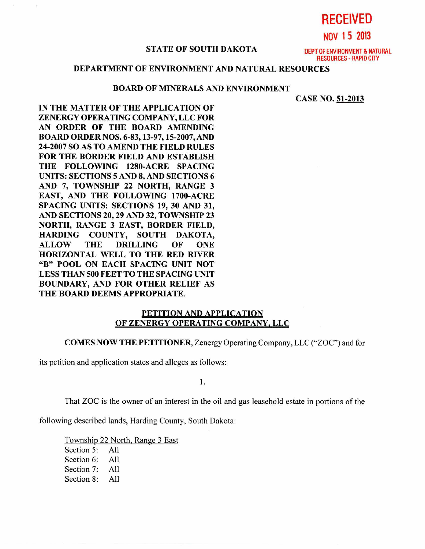**RECEIVED** 

**NOV 1 5 2013** 

#### STATE OF SOUTH DAKOTA **DEPT OF ENVIRONMENT & NATURAL**

RESOURCES - RAPID CITY

# **DEPARTMENT OF ENVIRONMENT AND NATURAL RESOURCES**

#### **BOARD OF MINERALS AND ENVIRONMENT**

**CASE NO. 51-2013** 

**IN THE MATTER OF THE APPLICATION OF ZENERGY OPERATING COMPANY, LLC FOR AN ORDER OF THE BOARD AMENDING BOARD ORDER NOS. 6-83, 13-97, 15-2007, AND 24-2007 SO AS TO AMEND THE FIELD RULES FOR THE BORDER FIELD AND ESTABLISH THE FOLLOWING 1280-ACRE SPACING UNITS: SECTIONS 5 AND 8, AND SECTIONS 6 AND 7, TOWNSHIP 22 NORTH, RANGE 3 EAST, AND THE FOLLOWING 1700-ACRE SPACING UNITS: SECTIONS 19, 30 AND 31, AND SECTIONS 20, 29 AND 32, TOWNSHIP 23 NORTH, RANGE 3 EAST, BORDER FIELD, HARDING COUNTY, SOUTH DAKOTA, ALLOW THE DRILLING OF ONE HORIZONTAL WELL TO THE RED RIVER "B" POOL ON EACH SPACING UNIT NOT LESS THAN 500 FEET TO THE SPACING UNIT BOUNDARY, AND FOR OTHER RELIEF AS THE BOARD DEEMS APPROPRIATE.** 

## **PETITION AND APPLICATION OF ZENERGY OPERATING COMPANY, LLC**

#### **COMES NOW THE PETITIONER,** Zenergy Operating Company, LLC ("ZOC") and for

its petition and application states and alleges as follows:

1.

That ZOC is the owner of an interest in the oil and gas leasehold estate in portions of the

following described lands, Harding County, South Dakota:

Township 22 North, Range 3 East

Section 5: All Section 6: All Section 7: All Section 8: All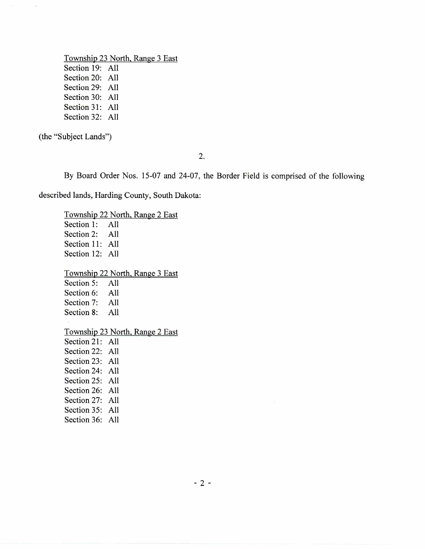Township 23 North, Range 3 East Section 19: All Section 20: All Section 29: All Section 30: All Section 31: All Section 32: All

(the "Subject Lands")

2.

By Board Order Nos. 15-07 and 24-07, the Border Field is comprised of the following

described lands, Harding County, South Dakota:

Township 22 North, Range 2 East Section 1: All Section 2: All Section 11: All Section 12: All Township 22 North, Range 3 East Section 5: All Section 6: All Section 7: All Section 8: All Township 23 North, Range 2 East Section 21: All Section 22: All Section 23: All Section 24: All Section 25: All Section 26: All Section 27: All Section 35: All Section 36: All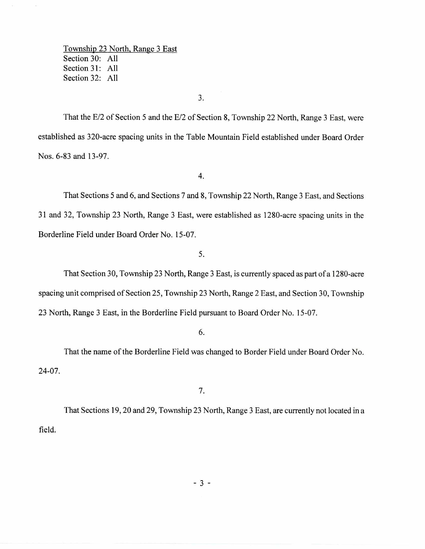Township 23 North, Range 3 East Section 30: All Section 31: All Section 32: All

3.

That the E/2 of Section 5 and the E/2 of Section 8, Township 22 North, Range 3 East, were established as 320-acre spacing units in the Table Mountain Field established under Board Order Nos. 6-83 and 13-97.

4.

That Sections 5 and 6, and Sections 7 and 8, Township 22 North, Range 3 East, and Sections 31 and 32, Township 23 North, Range 3 East, were established as 1280-acre spacing units in the Borderline Field under Board Order No. 15-07.

5.

That Section 30, Township 23 North, Range 3 East, is currently spaced as part of a 1280-acre spacing unit comprised of Section 25, Township 23 North, Range 2 East, and Section 30, Township 23 North, Range 3 East, in the Borderline Field pursuant to Board Order No. 15-07.

6.

That the name of the Borderline Field was changed to Border Field under Board Order No. 24-07.

7.

That Sections 19, 20 and 29, Township 23 North, Range 3 East, are currently not located in a field.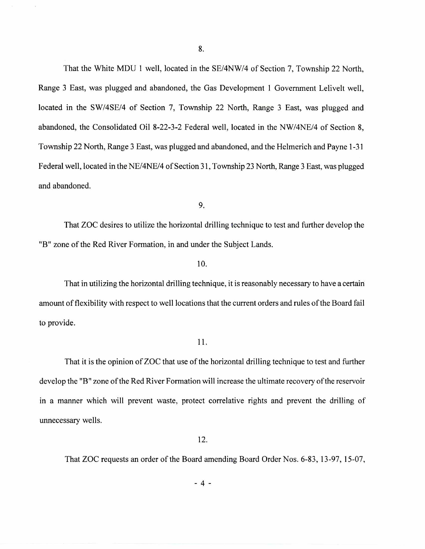That the White MDU 1 well, located in the SE/4NW/4 of Section 7, Township 22 North, Range 3 East, was plugged and abandoned, the Gas Development 1 Government Lelivelt well, located in the SW/4SE/4 of Section 7, Township 22 North, Range 3 East, was plugged and abandoned, the Consolidated Oil 8-22-3-2 Federal well, located in the NW/4NE/4 of Section 8, Township 22 North, Range 3 East, was plugged and abandoned, and the Helmerich and Payne 1-31 Federal well, located in the NE/4NE/4 of Section 31, Township 23 North, Range 3 East, was plugged and abandoned.

9.

That ZOC desires to utilize the horizontal drilling technique to test and further develop the "B" zone of the Red River Formation, in and under the Subject Lands.

## 10.

That in utilizing the horizontal drilling technique, it is reasonably necessary to have a certain amount of flexibility with respect to well locations that the current orders and rules of the Board fail to provide.

## 11.

That it is the opinion of ZOC that use of the horizontal drilling technique to test and further develop the "B" zone of the Red River Formation will increase the ultimate recovery of the reservoir in a manner which will prevent waste, protect correlative rights and prevent the drilling of unnecessary wells.

12.

That ZOC requests an order of the Board amending Board Order Nos. 6-83, 13-97, 15-07,

 $-4-$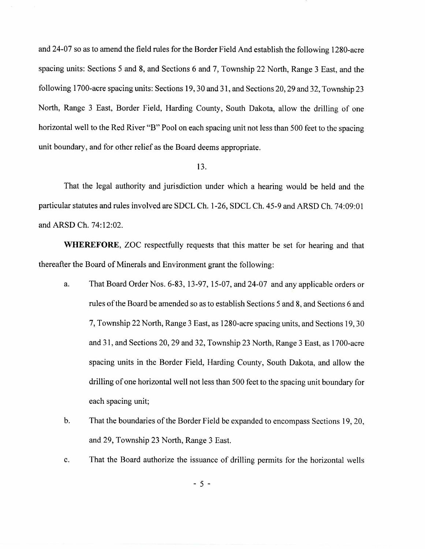and 24-07 so as to amend the field rules for the Border Field And establish the following 1280-acre spacing units: Sections 5 and 8, and Sections 6 and 7, Township 22 North, Range 3 East, and the following 1700-acre spacing units: Sections 19, 30 and 31, and Sections 20, 29 and 32, Township 23 North, Range 3 East, Border Field, Harding County, South Dakota, allow the drilling of one horizontal well to the Red River "B" Pool on each spacing unit not less than 500 feet to the spacing unit boundary, and for other relief as the Board deems appropriate.

#### 13.

That the legal authority and jurisdiction under which a hearing would be held and the particular statutes and rules involved are SDCL Ch. 1-26, SDCL Ch. 45-9 and ARSD Ch. 74:09:01 and ARSD Ch. 74:12:02.

**WHEREFORE,** ZOC respectfully requests that this matter be set for hearing and that thereafter the Board of Minerals and Environment grant the following:

- a. That Board Order Nos. 6-83, 13-97, 15-07, and 24-07 and any applicable orders or rules of the Board be amended so as to establish Sections 5 and 8, and Sections 6 and 7, Township 22 North, Range 3 East, as 1280-acre spacing units, and Sections 19, 30 and 31, and Sections 20, 29 and 32, Township 23 North, Range 3 East, as 1700-acre spacing units in the Border Field, Harding County, South Dakota, and allow the drilling of one horizontal well not less than 500 feet to the spacing unit boundary for each spacing unit;
- b. That the boundaries of the Border Field be expanded to encompass Sections 19, 20, and 29, Township 23 North, Range 3 East.
- c. That the Board authorize the issuance of drilling permits for the horizontal wells

- 5 -